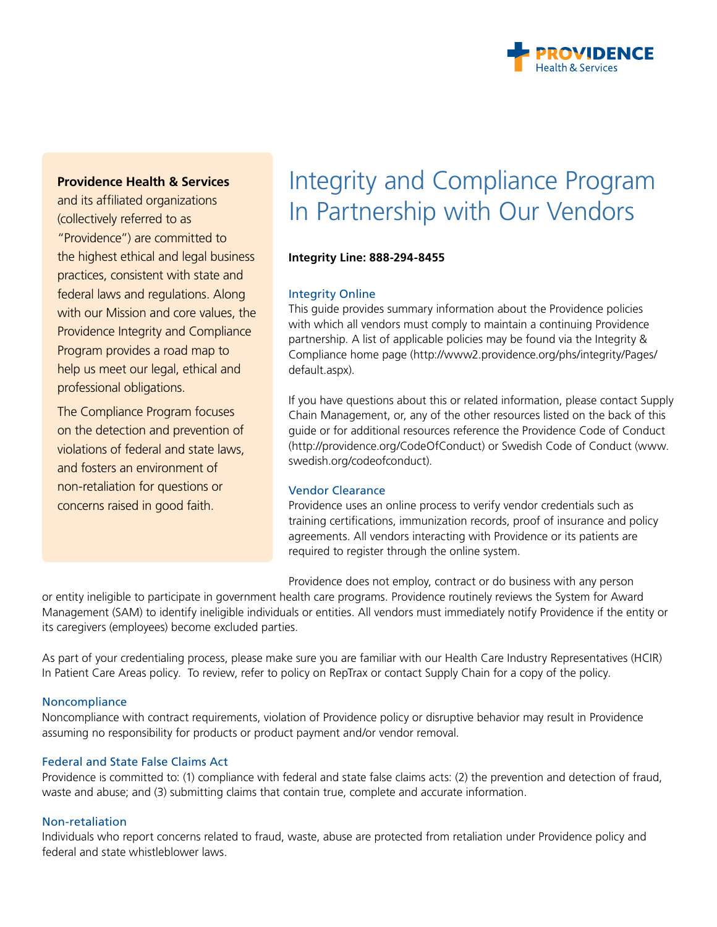

# **Providence Health & Services**

and its affiliated organizations (collectively referred to as "Providence") are committed to the highest ethical and legal business practices, consistent with state and federal laws and regulations. Along with our Mission and core values, the Providence Integrity and Compliance Program provides a road map to help us meet our legal, ethical and professional obligations.

The Compliance Program focuses on the detection and prevention of violations of federal and state laws, and fosters an environment of non-retaliation for questions or concerns raised in good faith.

# Integrity and Compliance Program In Partnership with Our Vendors

## **Integrity Line: 888-294-8455**

### Integrity Online

This guide provides summary information about the Providence policies with which all vendors must comply to maintain a continuing Providence partnership. A list of applicable policies may be found via the Integrity & Compliance home page (http://www2.providence.org/phs/integrity/Pages/ default.aspx).

If you have questions about this or related information, please contact Supply Chain Management, or, any of the other resources listed on the back of this guide or for additional resources reference the Providence Code of Conduct (http://providence.org/CodeOfConduct) or Swedish Code of Conduct (www. swedish.org/codeofconduct).

#### Vendor Clearance

Providence uses an online process to verify vendor credentials such as training certifications, immunization records, proof of insurance and policy agreements. All vendors interacting with Providence or its patients are required to register through the online system.

Providence does not employ, contract or do business with any person

or entity ineligible to participate in government health care programs. Providence routinely reviews the System for Award Management (SAM) to identify ineligible individuals or entities. All vendors must immediately notify Providence if the entity or its caregivers (employees) become excluded parties.

As part of your credentialing process, please make sure you are familiar with our Health Care Industry Representatives (HCIR) In Patient Care Areas policy. To review, refer to policy on RepTrax or contact Supply Chain for a copy of the policy.

#### Noncompliance

Noncompliance with contract requirements, violation of Providence policy or disruptive behavior may result in Providence assuming no responsibility for products or product payment and/or vendor removal.

## Federal and State False Claims Act

Providence is committed to: (1) compliance with federal and state false claims acts: (2) the prevention and detection of fraud, waste and abuse; and (3) submitting claims that contain true, complete and accurate information.

#### Non-retaliation

Individuals who report concerns related to fraud, waste, abuse are protected from retaliation under Providence policy and federal and state whistleblower laws.